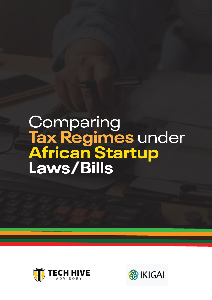# Comparing **Tax Regimes** under **African Startup Laws/Bills**



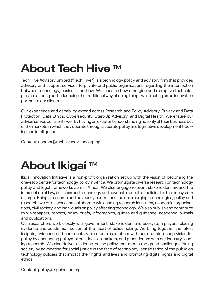# **About Tech Hive TM**

Tech Hive Advisory Limited ("Tech Hive") is a technology policy and advisory firm that provides advisory and support services to private and public organisations regarding the intersection between technology, business, and law. We focus on how emerging and disruptive technologies are altering and influencing the traditional way of doing things while acting as an innovation partner to our clients.

Our experience and capability extend across Research and Policy Advisory, Privacy and Data Protection, Data Ethics, Cybersecurity, Start-Up Advisory, and Digital Health. We ensure our advice serves our clients well by having an excellent understanding not only of their business but of the markets in which they operate through accurate policy and legislative development tracking and intelligence.

Contact: contact@techhiveadvisory.org.ng

#### **About Ikigai TM**

Ikigai Innovation Initiative is a non-profit organisation set up with the vision of becoming the one-stop centre for technology policy in Africa. We promulgate diverse research on technology policy and legal frameworks across Africa. We also engage relevant stakeholders around the intersection of law, business and technology and advocate for better policies for the ecosystem at large. Being a research and advocacy centre focused on emerging technologies, policy and research, we often work and collaborate with leading research institutes, academia, organisations, civil society, and individuals on policy affecting technology.We also publish and contribute to whitepapers, reports, policy briefs, infographics, guides and guidance, academic journals and publications.

Our researchers work closely with government, stakeholders and ecosystem players, placing evidence and academic intuition at the heart of policymaking. We bring together the latest insights, evidence and commentary from our researchers with our one-stop-shop vision for policy by connecting policymakers, decision-makers, and practitioners with our industry-leading research. We also deliver evidence-based policy that meets the grand challenges facing society by advocating for social justice in the face of technology; sensitization of the public on technology policies that impact their rights and lives and promoting digital rights and digital ethics.

Contact: policy@ikigaination.org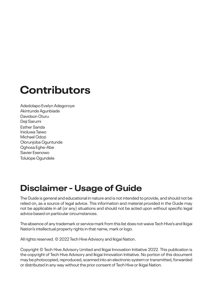#### **Contributors**

Adedolapo Evelyn Adegoroye Akintunde Agunbiade Davidson Oturu Deji Sarumi Esther Sanda Inioluwa Taiwo Michael Odozi Olorunjoba Oguntunde Oghosa Eghe-Abe Savier Esenowo Tolulope Ogundele

#### **Disclaimer - Usage of Guide**

The Guide is general and educational in nature and is not intended to provide, and should not be relied on, as a source of legal advice. This information and material provided in the Guide may not be applicable in all (or any) situations and should not be acted upon without specific legal advice based on particular circumstances.

The absence of any trademark or service mark from this list does not waive TechHive's and Ikigai Nation's intellectual property rights in that name, mark or logo.

All rights reserved. © 2022 Tech Hive Advisory and Ikigai Nation.

Copyright © Tech Hive Advisory Limited and Ikigai Innovation Initiative 2022. This publication is the copyright of Tech Hive Advisory and Ikigai Innovation Initiative. No portion of this document may be photocopied, reproduced, scanned into an electronic system or transmitted, forwarded or distributed in any way without the prior consent of Tech Hive or Ikigai Nation.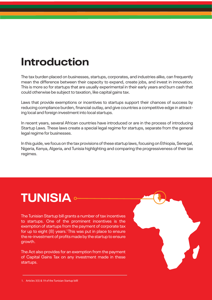#### **Introduction**

The tax burden placed on businesses, startups, corporates, and industries alike, can frequently mean the difference between their capacity to expand, create jobs, and invest in innovation. This is more so for startups that are usually experimental in their early years and burn cash that could otherwise be subject to taxation, like capital gains tax.

Laws that provide exemptions or incentives to startups support their chances of success by reducing compliance burden, financial outlay, and give countries a competitive edge in attracting local and foreign investment into local startups.

In recent years, several African countries have introduced or are in the process of introducing Startup Laws. These laws create a special legal regime for startups, separate from the general legal regime for businesses.

In this guide, we focus on the tax provisions of these startup laws, focusing on Ethiopia, Senegal, Nigeria, Kenya, Algeria, and Tunisia highlighting and comparing the progressiveness of their tax regimes.

# **TUNISIA**

The Tunisian Startup bill grants a number of tax incentives to startups. One of the prominent incentives is the exemption of startups from the payment of corporate tax for up to eight  $(8)$  years.<sup>1</sup> This was put in place to ensure the re-investment of profits made by the startup to ensure growth.

The Act also provides for an exemption from the payment of Capital Gains Tax on any investment made in these startups.



<sup>1.</sup> Articles 3(5) & 19 of the Tunisian Startup billl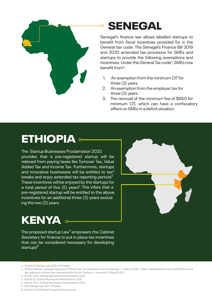

#### SENEGAL

Senegal's finance law allows labelled startups to benefit from fiscal incentives provided for in the General tax code. The Senegal's Finance Bill 2019 and 2020 amended tax provisions for SMEs and startups to provide the following exemptions and incentives: Under the General Tax code<sup>2</sup>, SMEs now benefit from<sup>3</sup>:

- 1. An exemption from the minimum CIT for three (3) years.
- 2. An exemption from the employer tax for three (3) years.
- 3. The removal of the minimum fee of \$850 for minimum CIT, which can have a confiscatory effect on SMEs in a deficit situation.

### ETHIOPIA

The Startup Businesses Proclamation 2020 provides that a pre-registered startup will be relieved from paying taxes like Turnover Tax, Value Added Tax and Income Tax. Furthermore, startups and innovative businesses will be entitled to tax<sup>4</sup>. breaks and enjoy extended tax reporting periods<sup>5</sup> These incentives will be enjoyed by the startups for a total period of five (5) years<sup>6</sup>. This infers that a pre-registered startup will be entitled to the above incentives for an additional three (3) years exclud ing the two (2) years.



# KENYA **.**

The proposed startup Law<sup>7</sup> empowers the Cabinet Secretary for finance to put in place tax incentives that can be considered necessary for developing startups<sup>8</sup>

2. Article 8, Startup Law 2020 of Senegal

- 4. Article 19(2), Startup Businesses Proclamation 2020.
- 5. Article 29, Startup Businesses Proclamation 2020.
- 6. Article 23(1), Startup Businesses Proclamation 2020.
- 7. The Startup Law 2021 of Kenya
- 8. Section 27 of Kenya's Proposed Startup Law.

<sup>3.</sup> Afrikan Heroes, 'Senegal Approves A-Three Year Tax Exemption For Its Startups' (1 March 2020) <https://afrikanheroes.com/2020/03/01/sene gal-approves-a-three-year-tax-exemption-for-its-startups/> accessed 25 March 2022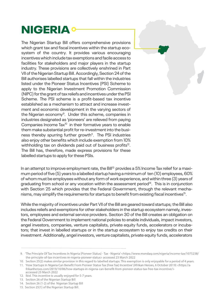### **NIGERIA**

The Nigerian Startup Bill offers comprehensive provisions which grant tax and fiscal incentives within the startup ecosystem of the country. It provides various encouraging incentiveswhich include tax exemptions and facile access to facilities for stakeholders and major players in the startup industry. These provisions are collectively enshrined in Part VII of the Nigerian Startup Bill. Accordingly, Section 24 of the Bill authorises labelled startups that fall within the industries listed under the Pioneer Status Incentives (PSI) Scheme to apply to the Nigerian Investment Promotion Commission (NIPC) for the grant of tax reliefs and incentives under the PSI Scheme. The PSI scheme is a profit-based tax incentive established as a mechanism to attract and increase investment and economic development in the varying sectors of the Nigerian economy<sup>9</sup>. Under this scheme, companies in industries designated as 'pioneers' are relieved from paying Companies Income Tax<sup>10</sup> in their formative years to enable them make substantial profit for re-investment into the business thereby spurring further growth<sup>11</sup>. The PSI industries also enjoy other benefits which include exemption from 10% withholding tax on dividends paid out of business profits<sup>12</sup>. The Bill has, therefore, made express provisions for these labelled startups to apply for these PSIs.

In an attempt to improve employment rate, the Bill<sup>13</sup> provides a 5% Income Tax relief for a maximum period of five (5) years to a labelled startup having a minimum of ten (10) employees, 60% of whom must be employees without any form of work experience, and within three (3) years of graduating from school or any vocation within the assessment period $<sup>14</sup>$ . This is in conjunction</sup> with Section 25 which provides that the Federal Government, through the relevant mechanisms, may simplify the requirements for startups to benefit from existing fiscal incentives<sup>15</sup>.

While the majority of incentives under Part VII of the Bill are geared toward startups; the Bill also includes reliefs and exemptions for other stakeholders in the startup ecosystem namely, investors, employees and external service providers. Section 30 of the Bill creates an obligation on the Federal Government to implement national policies to enable individuals, impact investors, angel investors, companies, venture capitalists, private equity funds, accelerators or incubators; that invest in labelled startups or in the startup ecosystem to enjoy tax credits on their investment. Additionally, angel investors, venture capitalists, private equity funds, accelerators

<sup>9. &#</sup>x27;The Principle Of Tax Incentives In Nigeria (Pioneer Status) - Tax - Nigeria' <https://www.mondaq.com/nigeria/income-tax/1075238/ the-principle-of-tax-incentives-in-nigeria-pioneer-status> accessed 23 March 2022

<sup>10.</sup> Section 25(2) makes similar provision in this regard to labelled startups. This exemption is only enjoyable for a period of 4 years. 11. 'How Startups In Nigeria Can Benefit From Pioneer Status Tax (Free Tax) Incentive' (Afrikan Heroes, 6 October 2019) <https://a

frikanheroes.com/2019/10/06/how-startups-in-nigeria-can-benefit-from-pioneer-status-tax-free-tax-incentive/> accessed 23 March 2022

<sup>12.</sup> Ibid. This incentive is usually enjoyed for 5-7 years.

<sup>13.</sup> Section 26 of the Nigerian Startup Bill

<sup>14.</sup> Section 26 (1-2) of the Nigerian Startup Bill

<sup>15.</sup> Section 25(1) of the Nigerian Startup Bill.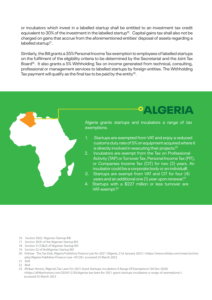or incubators which invest in a labelled startup shall be entitled to an investment tax credit equivalent to 30% of the investment in the labelled startup<sup>16</sup>. Capital gains tax shall also not be charged on gains that accrue from the aforementioned entities' disposal of assets regarding a labelled startup<sup>17</sup>.

Similarly, the Bill grants a 35% Personal Income Tax exemption to employees of labelled startups on the fulfilment of the eligibility criteria to be determined by the Secretariat and the Joint Tax Board<sup>18</sup>. It also grants a 5% Withholding Tax on income generated from technical, consulting, professional or management services to labelled startups by foreign entities. The Withholding Tax payment will qualify as the final tax to be paid by the entity $19$ .



Algeria grants startups and incubators a range of tax exemptions.

ALGERIA

- 1. Startups are exempted from VAT and enjoy a reduced customs duty rate of 5%on equipment acquired where it is directly involved in executing their projects<sup>20</sup>
- 2. Incubators are exempt from the Tax on Professional Activity (TAP) or Turnover Tax, Personal Income Tax (PIT), or Companies Income Tax (CIT) for two (2) years. An incubator could be a corporate body or an individual.
- 3. Startups are exempt from VAT and CIT for four (4) years and an additional one (1) year upon renewal  $^{22}$
- 4. Startups with a \$227 million or less turnover are VAT-exempt?<sup>3</sup>

- 16. Section 30(2) Nigerian Startup Bill
- 17. Section 30(3) of the Nigerian Startup Bill
- 18. Section 31(1)&(2) of Nigerian Startup Bill
- 19. Section 32 of theNigerian Startup Bill
- 20. Orbitax The Tax Hub, 'Algeria Publishes Finance Law for 2021' (Algeria, 21st January 2021) <https://www.orbitax.com/news/archive .php/Algeria-Publishes-Finance-Law--45120> accessed 25 March 2022
- 21. Ibid
- 22.Ibid
- 23. Afrikan Heroes, 'Algeria's Tax Laws For 2021 Grant Startups, Incubators A Range Of Exemptions' (30 Dec 2020) <https://afrikanheroes.com/2020/12/30/algerias-tax-laws-for-2021-grant-startups-incubators-a-range-of-exemptions/> accessed 25 March 2022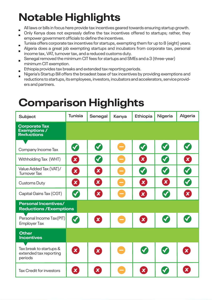# **Notable Highlights**

- All laws or bills in focus here provide tax incentives geared towards ensuring startup growth.
- Only Kenya does not expressly define the tax incentives offered to startups; rather, they empower government officials to define the incentives.
- Tunisia offers corporate tax incentives for startups, exempting them for up to 8 (eight) years.
- Algeria does a great job exempting startups and incubators from corporate tax, personal income tax, VAT, turnover tax, and a reduced customs duty.
- Senegal removed the minimum CIT fees for startups and SMEs and a 3 (three-year) minimum CIT exemption.
- Ethiopia provides tax breaks and extended tax reporting periods.
- Nigeria's Startup Bill offers the broadest base of tax incentives by providing exemptions and reductions to startups, its employees, investors, incubators and accelerators, service providers and partners.

#### **Comparison Highlights**

| Subject                                                          | <b>Tunisia</b> | Senegal                   | Kenya                          | Ethiopia                  | Nigeria              | <b>Algeria</b>        |
|------------------------------------------------------------------|----------------|---------------------------|--------------------------------|---------------------------|----------------------|-----------------------|
| <b>Corporate Tax</b><br><b>Exemptions /</b><br><b>Reductions</b> |                |                           |                                |                           |                      |                       |
| Company Income Tax                                               | <b>K</b>       | Ø                         | ٢                              | V                         | V                    | V                     |
| Withholding Tax (WHT)                                            | 23             | Ø                         | $\qquad \qquad \blacksquare$   | 2                         | V                    | $\boldsymbol{\Omega}$ |
| Value Added Tax (VAT)/<br><b>Turnover Tax</b>                    | 23             | 23                        |                                | $\blacktriangledown$      | $\blacktriangledown$ | V                     |
| <b>Customs Duty</b>                                              | 23             | 23                        | $\equiv$                       | X                         | 23                   | V                     |
| Capital Gains Tax (CGT)                                          | V              | 23                        | $\overline{\phantom{0}}$       | 23                        | V                    | 23                    |
| <b>Personal Incentives/</b><br><b>Reductions / Exemptions</b>    |                |                           |                                |                           |                      |                       |
| Personal Income Tax(PIT)<br><b>Employer Tax</b>                  | <b>K</b>       | X                         | ٢                              | X                         | K                    | $\blacktriangledown$  |
| <b>Other</b><br><b>Incentives</b>                                |                |                           |                                |                           |                      |                       |
| Tax break to startups &<br>extended tax reporting<br>periods     | 2              | X                         | $\qquad \qquad \longleftarrow$ | V                         | V                    | $\mathbf{x}$          |
| <b>Tax Credit for investors</b>                                  | $\mathbf{x}$   | $\boldsymbol{\mathsf{X}}$ |                                | $\boldsymbol{\mathsf{x}}$ |                      | $\boldsymbol{X}$      |